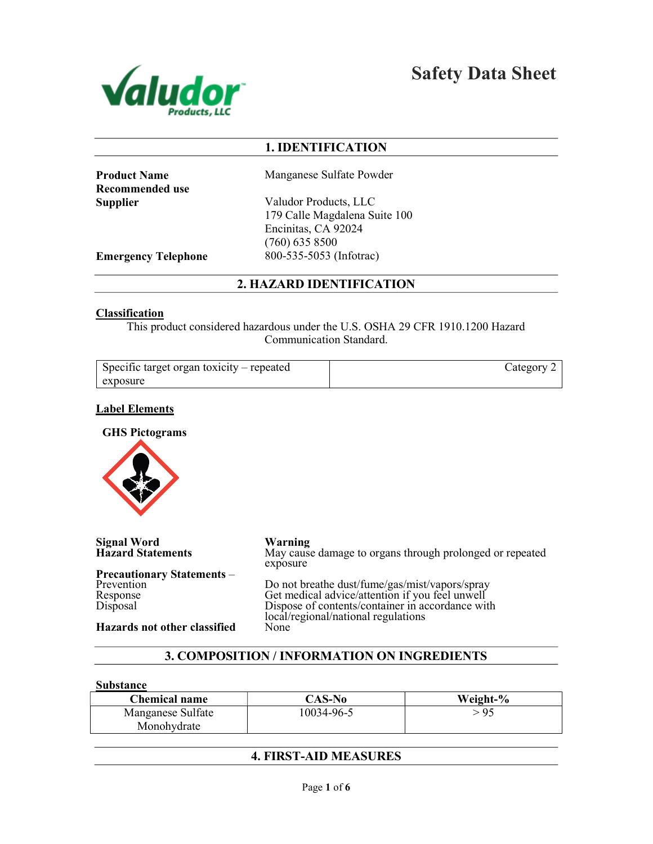

Safety Data Sheet

# 1. IDENTIFICATION

Recommended use

Product Name Manganese Sulfate Powder

Supplier Valudor Products, LLC 179 Calle Magdalena Suite 100 Encinitas, CA 92024 (760) 635 8500 Emergency Telephone 800-535-5053 (Infotrac)

2. HAZARD IDENTIFICATION

## Classification

This product considered hazardous under the U.S. OSHA 29 CFR 1910.1200 Hazard Communication Standard.

| Specific target organ toxicity – repeated | ategory |
|-------------------------------------------|---------|
| exposure                                  |         |

## Label Elements

GHS Pictograms



Signal Word<br>
Hazard Statements<br>
May cause May cause damage to organs through prolonged or repeated exposure Precautionary Statements – Prevention Response Disposal Do not breathe dust/fume/gas/mist/vapors/spray Get medical advice/attention if you feel unwell Dispose of contents/container in accordance with local/regional/national regulations Hazards not other classified None

# 3. COMPOSITION / INFORMATION ON INGREDIENTS

#### Substance

| <b>Chemical name</b> | CAS-No     | Weight-% |
|----------------------|------------|----------|
| Manganese Sulfate    | 10034-96-5 | - 95     |
| Monohydrate          |            |          |

# 4. FIRST-AID MEASURES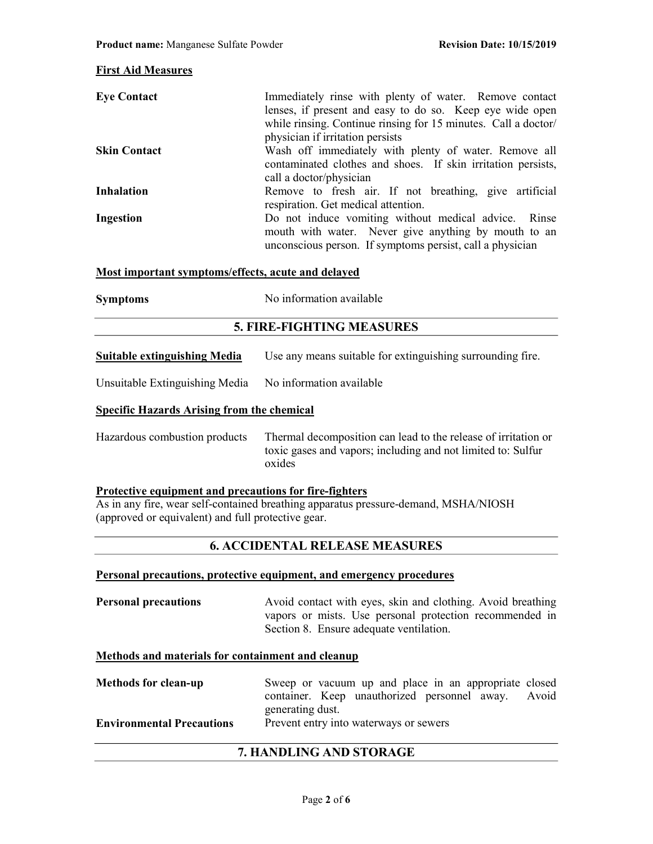## First Aid Measures

| <b>Eye Contact</b>  | Immediately rinse with plenty of water. Remove contact<br>lenses, if present and easy to do so. Keep eye wide open<br>while rinsing. Continue rinsing for 15 minutes. Call a doctor/ |
|---------------------|--------------------------------------------------------------------------------------------------------------------------------------------------------------------------------------|
|                     | physician if irritation persists                                                                                                                                                     |
| <b>Skin Contact</b> | Wash off immediately with plenty of water. Remove all                                                                                                                                |
|                     | contaminated clothes and shoes. If skin irritation persists,                                                                                                                         |
|                     | call a doctor/physician                                                                                                                                                              |
| <b>Inhalation</b>   | Remove to fresh air. If not breathing, give artificial<br>respiration. Get medical attention.                                                                                        |
| Ingestion           | Do not induce vomiting without medical advice. Rinse                                                                                                                                 |
|                     | mouth with water. Never give anything by mouth to an<br>unconscious person. If symptoms persist, call a physician                                                                    |

## Most important symptoms/effects, acute and delayed

| <b>Symptoms</b> | No information available |
|-----------------|--------------------------|
|-----------------|--------------------------|

## 5. FIRE-FIGHTING MEASURES

| <b>Suitable extinguishing Media</b> | Use any means suitable for extinguishing surrounding fire. |  |
|-------------------------------------|------------------------------------------------------------|--|
|                                     |                                                            |  |

Unsuitable Extinguishing Media No information available

## Specific Hazards Arising from the chemical

| Hazardous combustion products | Thermal decomposition can lead to the release of irritation or |
|-------------------------------|----------------------------------------------------------------|
|                               | toxic gases and vapors; including and not limited to: Sulfur   |
|                               | oxides                                                         |

#### Protective equipment and precautions for fire-fighters

As in any fire, wear self-contained breathing apparatus pressure-demand, MSHA/NIOSH (approved or equivalent) and full protective gear.

# 6. ACCIDENTAL RELEASE MEASURES

## Personal precautions, protective equipment, and emergency procedures

**Personal precautions** Avoid contact with eyes, skin and clothing. Avoid breathing vapors or mists. Use personal protection recommended in Section 8. Ensure adequate ventilation.

#### Methods and materials for containment and cleanup

Methods for clean-up Sweep or vacuum up and place in an appropriate closed container. Keep unauthorized personnel away. Avoid generating dust. Environmental Precautions Prevent entry into waterways or sewers

## 7. HANDLING AND STORAGE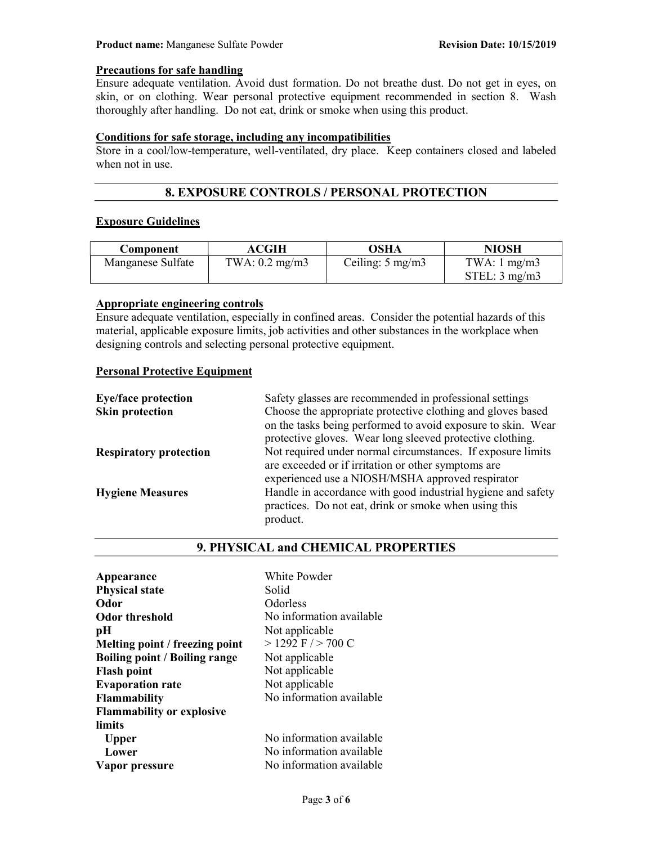## Precautions for safe handling

Ensure adequate ventilation. Avoid dust formation. Do not breathe dust. Do not get in eyes, on skin, or on clothing. Wear personal protective equipment recommended in section 8. Wash thoroughly after handling. Do not eat, drink or smoke when using this product.

## Conditions for safe storage, including any incompatibilities

Store in a cool/low-temperature, well-ventilated, dry place. Keep containers closed and labeled when not in use.

# 8. EXPOSURE CONTROLS / PERSONAL PROTECTION

#### Exposure Guidelines

| Component         | ACGIH          | OSHA                      | <b>NIOSH</b>            |
|-------------------|----------------|---------------------------|-------------------------|
| Manganese Sulfate | TWA: 0.2 mg/m3 | Ceiling: $5 \text{ mg/m}$ | TWA: $1 \text{ mg/m}$ 3 |
|                   |                |                           | STEL: 3 mg/m3           |

# Appropriate engineering controls

Ensure adequate ventilation, especially in confined areas. Consider the potential hazards of this material, applicable exposure limits, job activities and other substances in the workplace when designing controls and selecting personal protective equipment.

## Personal Protective Equipment

| Safety glasses are recommended in professional settings      |
|--------------------------------------------------------------|
| Choose the appropriate protective clothing and gloves based  |
| on the tasks being performed to avoid exposure to skin. Wear |
| protective gloves. Wear long sleeved protective clothing.    |
| Not required under normal circumstances. If exposure limits  |
| are exceeded or if irritation or other symptoms are          |
| experienced use a NIOSH/MSHA approved respirator             |
| Handle in accordance with good industrial hygiene and safety |
| practices. Do not eat, drink or smoke when using this        |
| product.                                                     |
|                                                              |

## 9. PHYSICAL and CHEMICAL PROPERTIES

| Appearance                           | White Powder             |
|--------------------------------------|--------------------------|
| <b>Physical state</b>                | Solid                    |
| Odor                                 | Odorless                 |
| <b>Odor threshold</b>                | No information available |
| pН                                   | Not applicable           |
| Melting point / freezing point       | $>$ 1292 F $/$ > 700 C   |
| <b>Boiling point / Boiling range</b> | Not applicable           |
| <b>Flash point</b>                   | Not applicable           |
| <b>Evaporation rate</b>              | Not applicable           |
| <b>Flammability</b>                  | No information available |
| <b>Flammability or explosive</b>     |                          |
| limits                               |                          |
| <b>Upper</b>                         | No information available |
| Lower                                | No information available |
| Vapor pressure                       | No information available |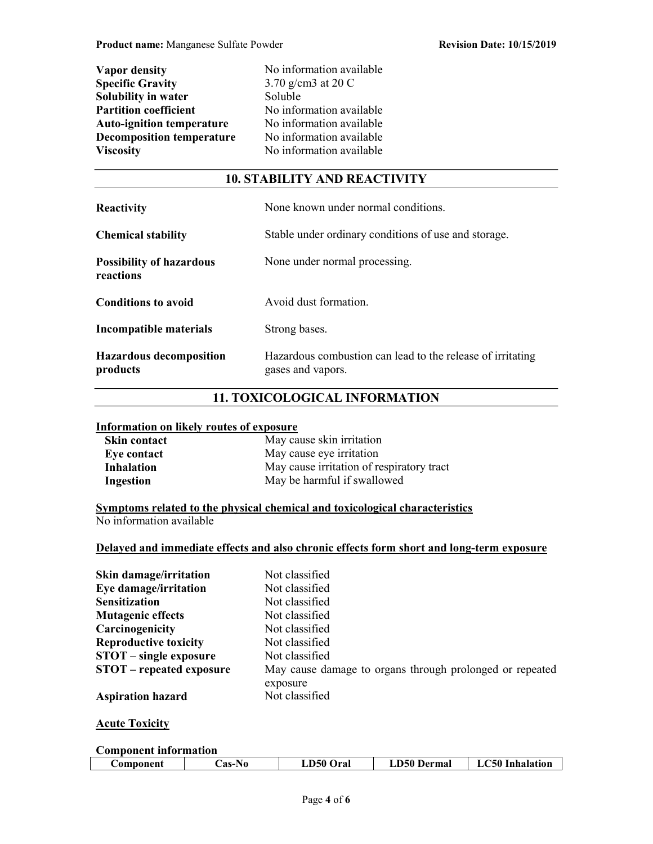| <b>Vapor density</b>             |
|----------------------------------|
| <b>Specific Gravity</b>          |
| Solubility in water              |
| <b>Partition coefficient</b>     |
| <b>Auto-ignition temperature</b> |
| <b>Decomposition temperature</b> |
| <b>Viscosity</b>                 |

No information available  $3.70$  g/cm3 at 20 C Soluble No information available No information available No information available No information available

# 10. STABILITY AND REACTIVITY

| <b>Reactivity</b>                            | None known under normal conditions.                                             |
|----------------------------------------------|---------------------------------------------------------------------------------|
| <b>Chemical stability</b>                    | Stable under ordinary conditions of use and storage.                            |
| <b>Possibility of hazardous</b><br>reactions | None under normal processing.                                                   |
| <b>Conditions to avoid</b>                   | Avoid dust formation.                                                           |
| Incompatible materials                       | Strong bases.                                                                   |
| <b>Hazardous decomposition</b><br>products   | Hazardous combustion can lead to the release of irritating<br>gases and vapors. |

# 11. TOXICOLOGICAL INFORMATION

## Information on likely routes of exposure

| <b>Skin contact</b> | May cause skin irritation                 |
|---------------------|-------------------------------------------|
| Eye contact         | May cause eye irritation                  |
| <b>Inhalation</b>   | May cause irritation of respiratory tract |
| Ingestion           | May be harmful if swallowed               |

Symptoms related to the physical chemical and toxicological characteristics No information available

## Delayed and immediate effects and also chronic effects form short and long-term exposure

| Skin damage/irritation          | Not classified                                           |
|---------------------------------|----------------------------------------------------------|
| Eye damage/irritation           | Not classified                                           |
| <b>Sensitization</b>            | Not classified                                           |
| <b>Mutagenic effects</b>        | Not classified                                           |
| Carcinogenicity                 | Not classified                                           |
| <b>Reproductive toxicity</b>    | Not classified                                           |
| STOT – single exposure          | Not classified                                           |
| <b>STOT</b> – repeated exposure | May cause damage to organs through prolonged or repeated |
|                                 | exposure                                                 |
| <b>Aspiration hazard</b>        | Not classified                                           |

## **Acute Toxicity**

#### Component information

| LА | $\mathcal L$ omponent $\;$ | $\mathsf{L}$ as-No $\blacksquare$ | <b>LD50 Oral</b> | <b>LD50 Dermal</b> | <b>C50 Inhalation</b> |
|----|----------------------------|-----------------------------------|------------------|--------------------|-----------------------|
|    |                            |                                   |                  |                    |                       |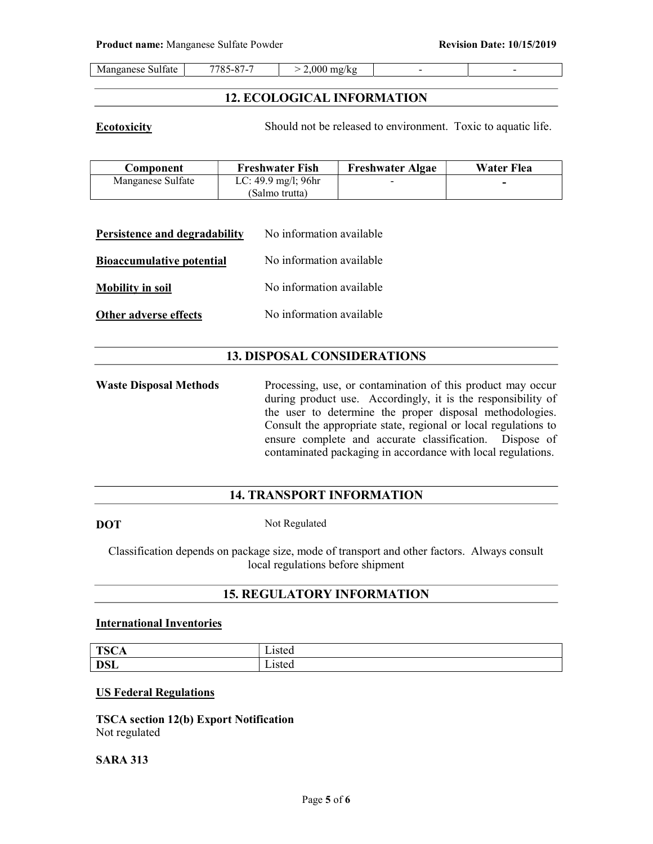|  | $\cdot$<br>Sulfate<br>Manganese | 7705<br>$\Omega$<br>$\circ$ .<br>. –<br>۰.<br>. . | $2.000^{\circ}$<br>mg/kg<br>. . |  |  |
|--|---------------------------------|---------------------------------------------------|---------------------------------|--|--|
|--|---------------------------------|---------------------------------------------------|---------------------------------|--|--|

## 12. ECOLOGICAL INFORMATION

**Ecotoxicity** Should not be released to environment. Toxic to aquatic life.

| Component         | <b>Freshwater Fish</b>                   | <b>Freshwater Algae</b>  | Water Flea |
|-------------------|------------------------------------------|--------------------------|------------|
| Manganese Sulfate | LC: $49.9 \text{ mg/l}$ ; $96 \text{hr}$ | $\overline{\phantom{0}}$ | -          |
|                   | (Salmo trutta)                           |                          |            |

| Persistence and degradability    | No information available |
|----------------------------------|--------------------------|
| <b>Bioaccumulative potential</b> | No information available |
| <b>Mobility in soil</b>          | No information available |
| Other adverse effects            | No information available |

## 13. DISPOSAL CONSIDERATIONS

Waste Disposal Methods Processing, use, or contamination of this product may occur during product use. Accordingly, it is the responsibility of the user to determine the proper disposal methodologies. Consult the appropriate state, regional or local regulations to ensure complete and accurate classification. Dispose of contaminated packaging in accordance with local regulations.

## 14. TRANSPORT INFORMATION

DOT Not Regulated

Classification depends on package size, mode of transport and other factors. Always consult local regulations before shipment

## 15. REGULATORY INFORMATION

## International Inventories

| <b>TSCA</b> | $\sim$ to $\sim$<br>15icu                                   |
|-------------|-------------------------------------------------------------|
| <b>DSL</b>  | $ \cdot$<br>$_{\alpha}$ t $_{\alpha}$<br>∟isicu<br>-- - - - |

## US Federal Regulations

TSCA section 12(b) Export Notification Not regulated

#### SARA 313